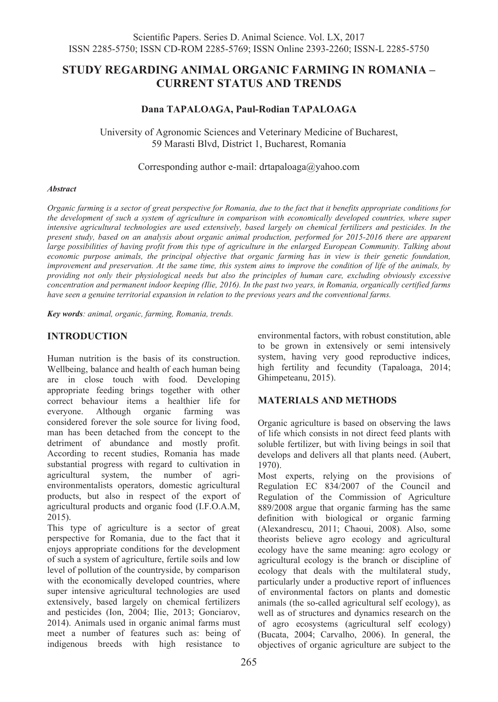# **STUDY REGARDING ANIMAL ORGANIC FARMING IN ROMANIA – CURRENT STATUS AND TRENDS**

### **Dana TAPALOAGA, Paul-Rodian TAPALOAGA**

University of Agronomic Sciences and Veterinary Medicine of Bucharest, 59 Marasti Blvd, District 1, Bucharest, Romania

Corresponding author e-mail: drtapaloaga@yahoo.com

#### *Abstract*

*Organic farming is a sector of great perspective for Romania, due to the fact that it benefits appropriate conditions for the development of such a system of agriculture in comparison with economically developed countries, where super intensive agricultural technologies are used extensively, based largely on chemical fertilizers and pesticides. In the present study, based on an analysis about organic animal production, performed for 2015-2016 there are apparent large possibilities of having profit from this type of agriculture in the enlarged European Community. Talking about economic purpose animals, the principal objective that organic farming has in view is their genetic foundation, improvement and preservation. At the same time, this system aims to improve the condition of life of the animals, by providing not only their physiological needs but also the principles of human care, excluding obviously excessive concentration and permanent indoor keeping (Ilie, 2016). In the past two years, in Romania, organically certified farms have seen a genuine territorial expansion in relation to the previous years and the conventional farms.*

*Key words: animal, organic, farming, Romania, trends.*

## **INTRODUCTION**

Human nutrition is the basis of its construction. Wellbeing, balance and health of each human being are in close touch with food. Developing appropriate feeding brings together with other correct behaviour items a healthier life for everyone. Although organic farming was considered forever the sole source for living food, man has been detached from the concept to the detriment of abundance and mostly profit. According to recent studies, Romania has made substantial progress with regard to cultivation in agricultural system, the number of agrienvironmentalists operators, domestic agricultural products, but also in respect of the export of agricultural products and organic food (I.F.O.A.M, 2015).

This type of agriculture is a sector of great perspective for Romania, due to the fact that it enjoys appropriate conditions for the development of such a system of agriculture, fertile soils and low level of pollution of the countryside, by comparison with the economically developed countries, where super intensive agricultural technologies are used extensively, based largely on chemical fertilizers and pesticides (Ion, 2004; Ilie, 2013; Gonciarov, 2014). Animals used in organic animal farms must meet a number of features such as: being of indigenous breeds with high resistance to

environmental factors, with robust constitution, able to be grown in extensively or semi intensively system, having very good reproductive indices, high fertility and fecundity (Tapaloaga, 2014; Ghimpeteanu, 2015).

### **MATERIALS AND METHODS**

Organic agriculture is based on observing the laws of life which consists in not direct feed plants with soluble fertilizer, but with living beings in soil that develops and delivers all that plants need. (Aubert, 1970).

Most experts, relying on the provisions of Regulation EC 834/2007 of the Council and Regulation of the Commission of Agriculture 889/2008 argue that organic farming has the same definition with biological or organic farming (Alexandrescu, 2011; Chaoui, 2008). Also, some theorists believe agro ecology and agricultural ecology have the same meaning: agro ecology or agricultural ecology is the branch or discipline of ecology that deals with the multilateral study, particularly under a productive report of influences of environmental factors on plants and domestic animals (the so-called agricultural self ecology), as well as of structures and dynamics research on the of agro ecosystems (agricultural self ecology) (Bucata, 2004; Carvalho, 2006). In general, the objectives of organic agriculture are subject to the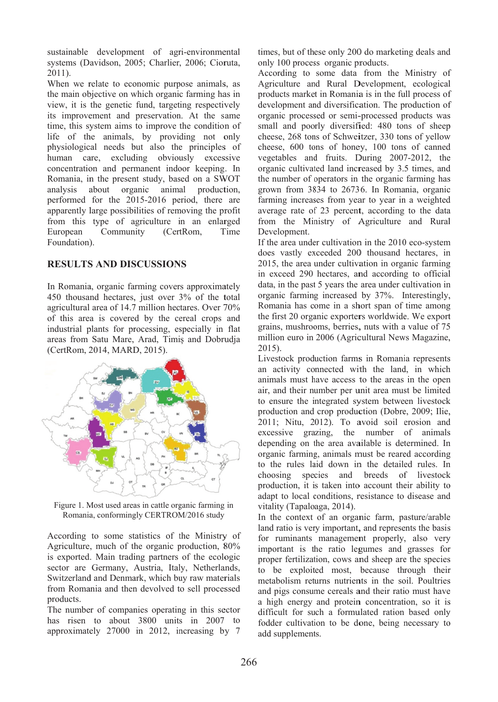sustainable development of agri-environmental systems (Davidson, 2005; Charlier, 2006; Cioruta, 2011).

When we relate to economic purpose animals, as the main objective on which organic farming has in view, it is the genetic fund, targeting respectively its improvement and preservation. At the same time, this system aims to improve the condition of life of the animals, by providing not only physiological needs but also the principles of human care, excluding obviously excessive concentration and permanent indoor keeping. In Romania, in the present study, based on a SWOT analysis a performed for the 2015-2016 period, there are apparently large possibilities of removing the profit from this type of agriculture in an enlarged European Foundation) ). about organic **Community** animal nity (CertRom, T al production, Time

## **RESULTS AND DISCUSSIONS**

In Romania, organic farming covers approximately 450 thousand hectares, just over 3% of the total agricultural area of 14.7 million hectares. Over 70% of this are a is covere d by the ce ereal crops and industrial plants for processing, especially in flat areas from Satu Mare, Arad, Timiș and Dobrudja (CertRom, 2 2014, MARD D, 2015).



Figure 1. Most used areas in cattle organic farming in Romania, conformingly CERTROM/2016 study

According to some statistics of the Ministry of Agriculture , much of th he organic p production, 8 80% is exported. Main trading partners of the ecologic sector are Germany, Austria, Italy, Netherlands, Switzerland and Denmark, which buy raw materials from Romania and then devolved to sell processed products.

The number of companies operating in this sector has risen to about 3800 units in 2007 to approximately 27000 in 2012, increasing by 7 tim mes, but of th ese only 200 0 do marketin ng deals and only 100 process organic products.

Acc cording to some data from the Ministry of Agriculture and Rural Development, ecological products market in Romania is in the full process of development and diversification. The production of organic processed or semi-processed products was small and poorly diversified: 480 tons of sheep cheese, 268 tons of Schweitzer, 330 tons of yellow cheese, 600 tons of honey, 100 tons of canned vegetables and fruits. During 2007-2012, the organic cultivated land increased by 3.5 times, and the number of operators in the organic farming has grown from 3834 to 26736. In Romania, organic farming increases from year to year in a weighted average rate of 23 percent, according to the data from the Ministry of Agriculture and Rural Development. dformal<br>definitions are the definitions of the data all off assembly wedden<br>the data all mining all in in 2015 it was registered to Certain to Certain to Certain and the definitions of the definition of the definition of t

If the area under cultivation in the 2010 eco-system does vastly exceeded 200 thousand hectares, in 2015, the area under cultivation in organic farming in exceed 290 hectares, and according to official data, in the past 5 years the area under cultivation in org ganic farming g increased by 37%. I nterestingly, Romania has come in a short span of time among the first 20 organic exporters worldwide. We export grains, mushrooms, berries, nuts with a value of 75 million euro in 2006 (Agricultural News Magazine, 201 15).

Livestock production farms in Romania represents an activity connected with the land, in which anim mals must h have access t to the areas in the open air, and their number per unit area must be limited to ensure the integrated system between livestock production and crop production (Dobre, 2009; Ilie, 2011; Nitu, 2012). To avoid soil erosion and excessive grazing, the number of animals depending on the area available is determined. In organic farming, animals must be reared according to the rules laid down in the detailed rules. In choosing species and breeds of livestock production, it is taken into account their ability to adapt to local conditions, resistance to disease and vitality (Tapaloaga, 2014).

In the context of an organic farm, pasture/arable land ratio is very important, and represents the basis for ruminants management properly, also very imp portant is th he ratio leg gumes and grasses for proper fertilization, cows and sheep are the species to be exploited most, because through their metabolism returns nutrients in the soil. Poultries and d pigs consum me cereals a and their rati o must have a high energy and protein concentration, so it is difficult for such a formulated ration based only fodder cultivation to be done, being necessary to add supplements.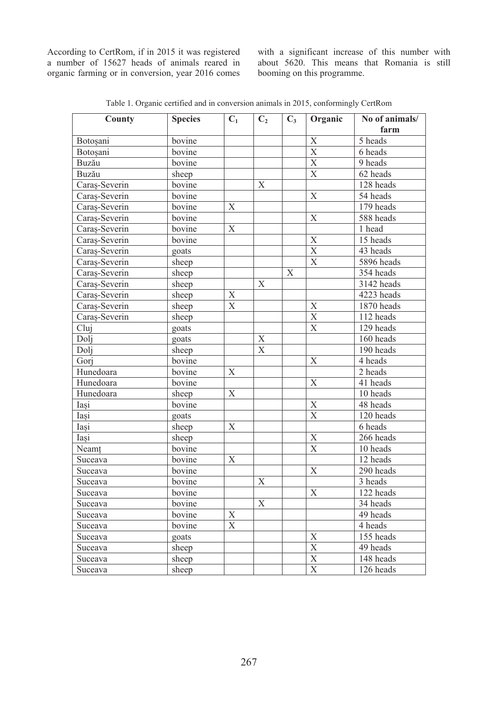a number of 15627 heads of animals reared in organic farming or in conversion, year 2016 comes with a significant increase of this number with about 5620. This means that Romania is still booming on this programme.

| County             | <b>Species</b>   | $C_1$                          | $C_2$          | $C_3$ | Organic                 | No of animals/<br>farm |
|--------------------|------------------|--------------------------------|----------------|-------|-------------------------|------------------------|
| Botoșani           | bovine           |                                |                |       | $\mathbf X$             | 5 heads                |
| Botosani           | bovine           |                                |                |       | $\overline{X}$          | 6 heads                |
| Buzău              | bovine           |                                |                |       | $\overline{X}$          | 9 heads                |
| Buzău              | sheep            |                                |                |       | $\overline{\mathbf{X}}$ | 62 heads               |
| Caraș-Severin      | bovine           |                                | X              |       |                         | 128 heads              |
| Caraș-Severin      | bovine           |                                |                |       | $\mathbf X$             | 54 heads               |
| Caraș-Severin      | bovine           | $\mathbf X$                    |                |       |                         | 179 heads              |
| Caraș-Severin      | bovine           |                                |                |       | $\mathbf X$             | 588 heads              |
| Caraş-Severin      | bovine           | $\mathbf X$                    |                |       |                         | 1 head                 |
| Caraș-Severin      | bovine           |                                |                |       | $\overline{X}$          | 15 heads               |
| Caraş-Severin      | goats            |                                |                |       | $\mathbf X$             | 43 heads               |
| Caraş-Severin      | sheep            |                                |                |       | $\overline{X}$          | 5896 heads             |
| Caraș-Severin      | sheep            |                                |                | Χ     |                         | 354 heads              |
| Caraș-Severin      | sheep            |                                | X              |       |                         | 3142 heads             |
| Caraș-Severin      | sheep            | X                              |                |       |                         | 4223 heads             |
| Caraş-Severin      | sheep            | X                              |                |       | $\mathbf X$             | 1870 heads             |
| Caraș-Severin      | sheep            |                                |                |       | $\mathbf X$             | 112 heads              |
| $\overline{Clui}$  | goats            |                                |                |       | $\overline{X}$          | 129 heads              |
| Doli               | goats            |                                | $\mathbf X$    |       |                         | 160 heads              |
| Doli               | sheep            |                                | $\mathbf X$    |       |                         | 190 heads              |
| Gori               | bovine           |                                |                |       | $\mathbf X$             | 4 heads                |
| Hunedoara          | bovine           | X                              |                |       |                         | 2 heads                |
| Hunedoara          | bovine           |                                |                |       | $\mathbf X$             | 41 heads               |
| Hunedoara          | sheep            | X                              |                |       |                         | 10 heads               |
| Iași               | bovine           |                                |                |       | $\mathbf X$             | 48 heads               |
| Iași               | goats            |                                |                |       | $\mathbf X$             | 120 heads              |
| Iasi               | sheep            | X                              |                |       |                         | 6 heads                |
| Iasi               | sheep            |                                |                |       | $\overline{\mathbf{X}}$ | 266 heads              |
| Neamt              | bovine           |                                |                |       | $\mathbf X$             | 10 heads               |
| Suceava            | bovine           | X                              |                |       |                         | 12 heads               |
| Suceava            | bovine           |                                |                |       | $\mathbf X$             | 290 heads              |
| Suceava            | bovine           |                                | $\overline{X}$ |       |                         | 3 heads                |
| Suceava            | bovine           |                                |                |       | $\mathbf X$             | 122 heads              |
| Suceava            | bovine           |                                | $\mathbf X$    |       |                         | 34 heads               |
| Suceava            | bovine<br>bovine | $\boldsymbol{\mathrm{X}}$<br>X |                |       |                         | 49 heads<br>4 heads    |
| Suceava<br>Suceava | goats            |                                |                |       | $\mathbf X$             | 155 heads              |
| Suceava            | sheep            |                                |                |       | $\overline{\mathbf{X}}$ | 49 heads               |
| Suceava            | sheep            |                                |                |       | $\mathbf X$             | 148 heads              |
| Suceava            | sheep            |                                |                |       | $\mathbf X$             | 126 heads              |

Table 1. Organic certified and in conversion animals in 2015, conformingly CertRom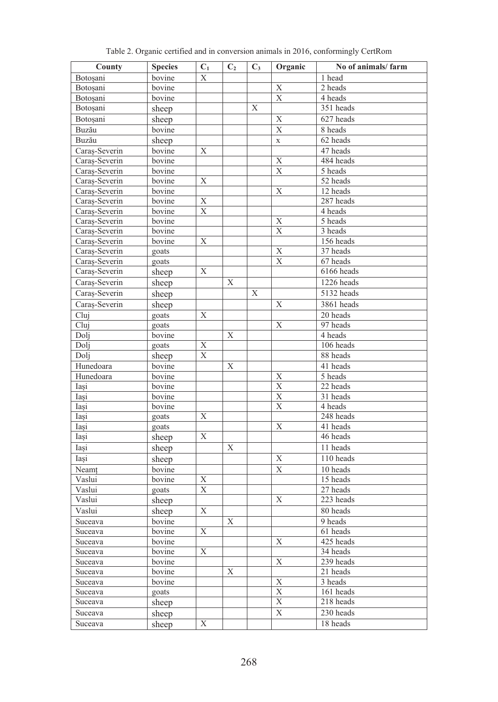| County             | <b>Species</b>   | $C_1$                     | C <sub>2</sub> | $C_3$ | Organic                 | No of animals/farm |
|--------------------|------------------|---------------------------|----------------|-------|-------------------------|--------------------|
| Botoșani           | bovine           | X                         |                |       |                         | 1 head             |
| Botoșani           | bovine           |                           |                |       | X                       | 2 heads            |
| Botoșani           | bovine           |                           |                |       | $\mathbf X$             | 4 heads            |
| Botoșani           | sheep            |                           |                | X     |                         | 351 heads          |
| Botoșani           | sheep            |                           |                |       | X                       | 627 heads          |
| Buzău              | bovine           |                           |                |       | $\overline{X}$          | 8 heads            |
| Buzău              | sheep            |                           |                |       | $\mathbf X$             | 62 heads           |
| Caras-Severin      | bovine           | $\mathbf X$               |                |       |                         | 47 heads           |
| Caraş-Severin      | bovine           |                           |                |       | X                       | 484 heads          |
| Caraş-Severin      | bovine           |                           |                |       | $\overline{\mathbf{X}}$ | 5 heads            |
| Caraş-Severin      | bovine           | X                         |                |       |                         | 52 heads           |
| Caras-Severin      | bovine           |                           |                |       | X                       | 12 heads           |
| Caraș-Severin      | bovine           | $\overline{X}$            |                |       |                         | 287 heads          |
| Caraş-Severin      | bovine           | $\mathbf X$               |                |       |                         | 4 heads            |
| Caraş-Severin      | bovine           |                           |                |       | X                       | 5 heads            |
| Caras-Severin      | bovine           |                           |                |       | $\mathbf X$             | 3 heads            |
| Caraş-Severin      | bovine           | X                         |                |       |                         | 156 heads          |
| Caras-Severin      | goats            |                           |                |       | X                       | 37 heads           |
| Caraş-Severin      | goats            |                           |                |       | $\mathbf X$             | 67 heads           |
| Caraş-Severin      | sheep            | Χ                         |                |       |                         | 6166 heads         |
| Caras-Severin      | sheep            |                           | X              |       |                         | $1226$ heads       |
| Caras-Severin      | sheep            |                           |                | X     |                         | 5132 heads         |
| Caras-Severin      | sheep            |                           |                |       | X                       | 3861 heads         |
| Cluj               | goats            | Χ                         |                |       |                         | 20 heads           |
| Cluj               | goats            |                           |                |       | Х                       | 97 heads           |
| Doli               | bovine           |                           | X              |       |                         | 4 heads            |
| Dolj               | goats            | X                         |                |       |                         | 106 heads          |
| Doli               | sheep            | $\overline{X}$            |                |       |                         | 88 heads           |
| Hunedoara          | bovine           |                           | X              |       |                         | 41 heads           |
| Hunedoara          | bovine           |                           |                |       | X                       | 5 heads            |
| Iasi               | bovine           |                           |                |       | $\overline{X}$          | 22 heads           |
| Iași               | bovine           |                           |                |       | X                       | 31 heads           |
| Iasi               | bovine           |                           |                |       | $\overline{\mathrm{X}}$ | 4 heads            |
| Iasi               | goats            | $\mathbf X$               |                |       |                         | 248 heads          |
| Iași               | goats            |                           |                |       | Х                       | 41 heads           |
| Iasi               | sheep            | $\boldsymbol{\mathrm{X}}$ |                |       |                         | 46 heads           |
| Iasi               | sheep            |                           | $\mathbf X$    |       |                         | 11 heads           |
| Iasi               | sheep            |                           |                |       | Х                       | 110 heads          |
| Neamt              | bovine           |                           |                |       | $\overline{X}$          | 10 heads           |
| Vaslui             | bovine           | $\mathbf X$               |                |       |                         | 15 heads           |
| Vaslui             | goats            | $\mathbf X$               |                |       |                         | 27 heads           |
| Vaslui             | sheep            |                           |                |       | X                       | 223 heads          |
| Vaslui             | sheep            | $\overline{X}$            |                |       |                         | 80 heads           |
| Suceava            | bovine           |                           | X              |       |                         | 9 heads            |
|                    | bovine           | Χ                         |                |       |                         | 61 heads           |
| Suceava            |                  |                           |                |       | Χ                       | 425 heads          |
| Suceava<br>Suceava | bovine<br>bovine | X                         |                |       |                         | 34 heads           |
| Suceava            | bovine           |                           |                |       | X                       | 239 heads          |
| Suceava            | bovine           |                           | Χ              |       |                         | $21$ heads         |
| Suceava            | bovine           |                           |                |       | $\overline{\textbf{X}}$ | 3 heads            |
| Suceava            | goats            |                           |                |       | $\overline{\mathbf{X}}$ | 161 heads          |
| Suceava            | sheep            |                           |                |       | $\mathbf X$             | 218 heads          |
| Suceava            | sheep            |                           |                |       | $\mathbf X$             | 230 heads          |
|                    |                  | X                         |                |       |                         | 18 heads           |
| Suceava            | sheep            |                           |                |       |                         |                    |

Table 2. Organic certified and in conversion animals in 2016, conformingly CertRom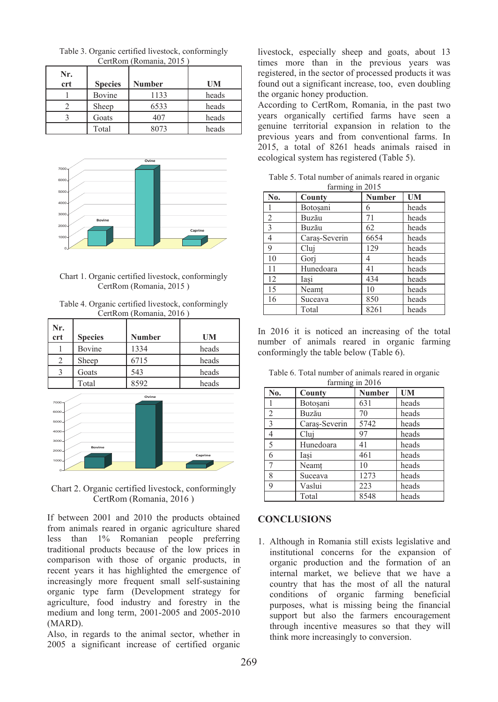| Nr.<br>crt | <b>Species</b> | <b>Number</b> | UM    |
|------------|----------------|---------------|-------|
|            | Bovine         | 1133          | heads |
|            | Sheep          | 6533          | heads |
|            | Goats          | 407           | heads |
|            | Total          | 8073          | heads |

Table 3. Organic certified livestock, conformingly CertRom (Romania, 2015 )



### Chart 1. Organic certified livestock, conformingly CertRom (Romania, 2015 )

| Table 4. Organic certified livestock, conformingly |
|----------------------------------------------------|
| CertRom (Romania, 2016)                            |

| Nr.<br>crt                                                      | <b>Species</b> | <b>Number</b> | <b>UM</b> |
|-----------------------------------------------------------------|----------------|---------------|-----------|
|                                                                 | Bovine         | 1334          | heads     |
| 2                                                               | Sheep          | 6715          | heads     |
| 3                                                               | Goats          | 543           | heads     |
|                                                                 | Total          | 8592          | heads     |
| 7000<br>6000<br>5000<br>4000<br>3000<br>2000<br>1000<br>$\circ$ | Bovine         | Ovine         | Caprine   |

Chart 2. Organic certified livestock, conformingly CertRom (Romania, 2016 )

If between 2001 and 2010 the products obtained from animals reared in organic agriculture shared less than 1% Romanian people preferring traditional products because of the low prices in comparison with those of organic products, in recent years it has highlighted the emergence of increasingly more frequent small self-sustaining organic type farm (Development strategy for agriculture, food industry and forestry in the medium and long term, 2001-2005 and 2005-2010 (MARD).

Also, in regards to the animal sector, whether in 2005 a significant increase of certified organic

livestock, especially sheep and goats, about 13 times more than in the previous years was registered, in the sector of processed products it was found out a significant increase, too, even doubling the organic honey production.

According to CertRom, Romania, in the past two years organically certified farms have seen a genuine territorial expansion in relation to the previous years and from conventional farms. In 2015, a total of 8261 heads animals raised in ecological system has registered (Table 5).

Table 5. Total number of animals reared in organic farming in 2015

| No.            | County        | <b>Number</b> | <b>UM</b> |
|----------------|---------------|---------------|-----------|
|                | Botosani      | 6             | heads     |
| $\overline{2}$ | Buzău         | 71            | heads     |
| 3              | Buzău         | 62            | heads     |
| $\overline{4}$ | Caras-Severin | 6654          | heads     |
| 9              | Clui          | 129           | heads     |
| 10             | Gori          | 4             | heads     |
| 11             | Hunedoara     | 41            | heads     |
| 12             | Iasi          | 434           | heads     |
| 15             | Neamt         | 10            | heads     |
| 16             | Suceava       | 850           | heads     |
|                | Total         | 8261          | heads     |

In 2016 it is noticed an increasing of the total number of animals reared in organic farming conformingly the table below (Table 6).

Table 6. Total number of animals reared in organic farming in 2016

| No.            | County        | <b>Number</b> | <b>UM</b> |
|----------------|---------------|---------------|-----------|
|                | Botosani      | 631           | heads     |
| $\overline{2}$ | Buzău         | 70            | heads     |
| $\mathcal{R}$  | Caras-Severin | 5742          | heads     |
| 4              | Cluj          | 97            | heads     |
| 5              | Hunedoara     | 41            | heads     |
| 6              | Iasi          | 461           | heads     |
| $\overline{7}$ | Neamt         | 10            | heads     |
| 8              | Suceava       | 1273          | heads     |
| 9              | Vaslui        | 223           | heads     |
|                | Total         | 8548          | heads     |

## **CONCLUSIONS**

1. Although in Romania still exists legislative and institutional concerns for the expansion of organic production and the formation of an internal market, we believe that we have a country that has the most of all the natural conditions of organic farming beneficial purposes, what is missing being the financial support but also the farmers encouragement through incentive measures so that they will think more increasingly to conversion.